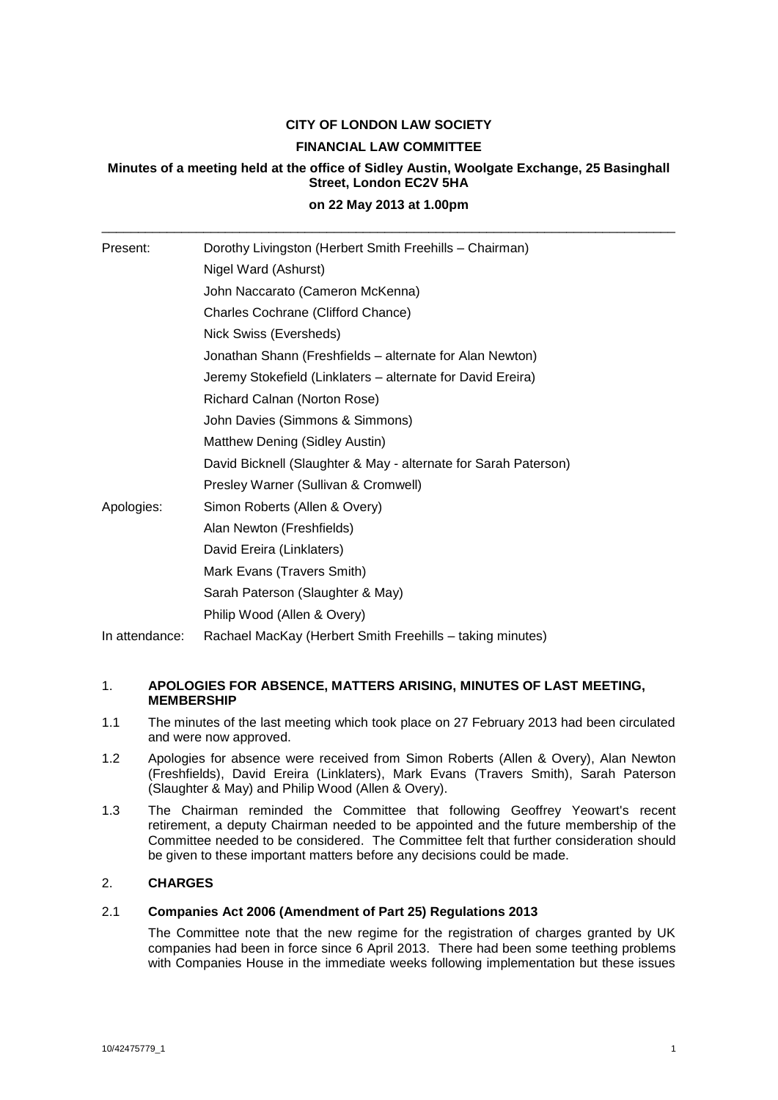# **CITY OF LONDON LAW SOCIETY FINANCIAL LAW COMMITTEE**

## **Minutes of a meeting held at the office of Sidley Austin, Woolgate Exchange, 25 Basinghall Street, London EC2V 5HA**

## **on 22 May 2013 at 1.00pm** \_\_\_\_\_\_\_\_\_\_\_\_\_\_\_\_\_\_\_\_\_\_\_\_\_\_\_\_\_\_\_\_\_\_\_\_\_\_\_\_\_\_\_\_\_\_\_\_\_\_\_\_\_\_\_\_\_\_\_\_\_\_\_\_\_\_\_\_\_\_\_\_\_\_\_\_\_\_\_

| Present:       | Dorothy Livingston (Herbert Smith Freehills - Chairman)         |
|----------------|-----------------------------------------------------------------|
|                | Nigel Ward (Ashurst)                                            |
|                | John Naccarato (Cameron McKenna)                                |
|                | Charles Cochrane (Clifford Chance)                              |
|                | Nick Swiss (Eversheds)                                          |
|                | Jonathan Shann (Freshfields – alternate for Alan Newton)        |
|                | Jeremy Stokefield (Linklaters - alternate for David Ereira)     |
|                | Richard Calnan (Norton Rose)                                    |
|                | John Davies (Simmons & Simmons)                                 |
|                | Matthew Dening (Sidley Austin)                                  |
|                | David Bicknell (Slaughter & May - alternate for Sarah Paterson) |
|                | Presley Warner (Sullivan & Cromwell)                            |
| Apologies:     | Simon Roberts (Allen & Overy)                                   |
|                | Alan Newton (Freshfields)                                       |
|                | David Ereira (Linklaters)                                       |
|                | Mark Evans (Travers Smith)                                      |
|                | Sarah Paterson (Slaughter & May)                                |
|                | Philip Wood (Allen & Overy)                                     |
| In attendance: | Rachael MacKay (Herbert Smith Freehills - taking minutes)       |

#### 1. **APOLOGIES FOR ABSENCE, MATTERS ARISING, MINUTES OF LAST MEETING, MEMBERSHIP**

- 1.1 The minutes of the last meeting which took place on 27 February 2013 had been circulated and were now approved.
- 1.2 Apologies for absence were received from Simon Roberts (Allen & Overy), Alan Newton (Freshfields), David Ereira (Linklaters), Mark Evans (Travers Smith), Sarah Paterson (Slaughter & May) and Philip Wood (Allen & Overy).
- 1.3 The Chairman reminded the Committee that following Geoffrey Yeowart's recent retirement, a deputy Chairman needed to be appointed and the future membership of the Committee needed to be considered. The Committee felt that further consideration should be given to these important matters before any decisions could be made.

### 2. **CHARGES**

## 2.1 **Companies Act 2006 (Amendment of Part 25) Regulations 2013**

The Committee note that the new regime for the registration of charges granted by UK companies had been in force since 6 April 2013. There had been some teething problems with Companies House in the immediate weeks following implementation but these issues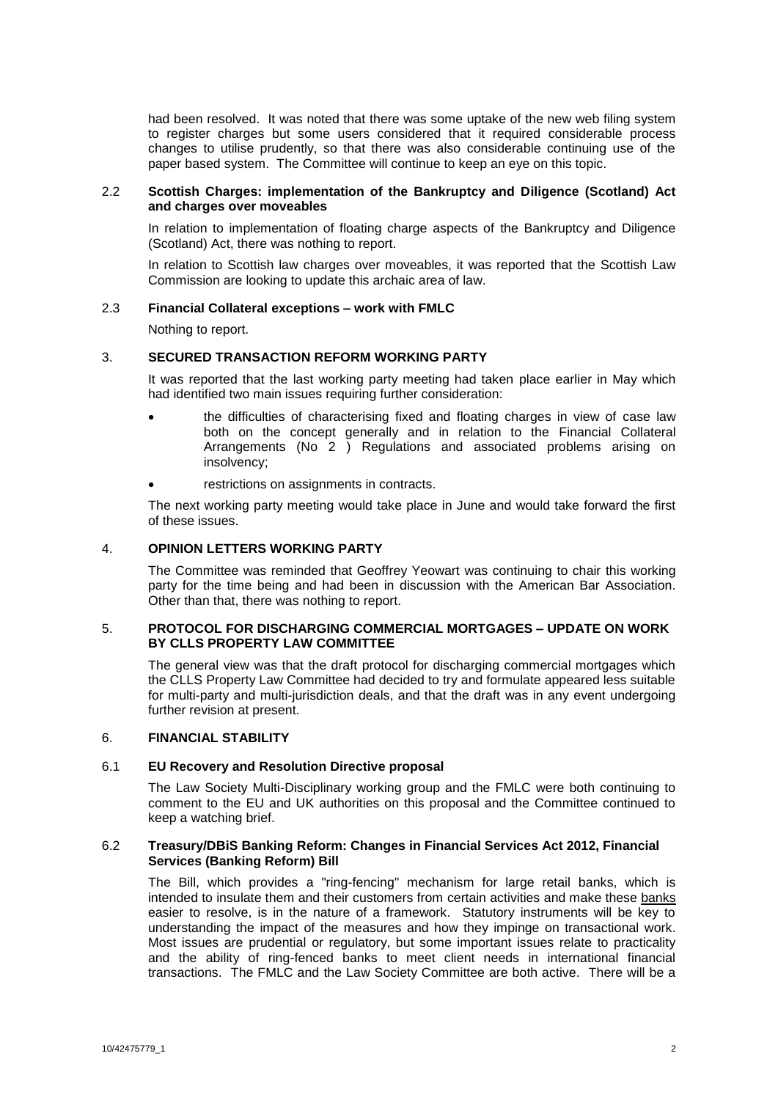had been resolved. It was noted that there was some uptake of the new web filing system to register charges but some users considered that it required considerable process changes to utilise prudently, so that there was also considerable continuing use of the paper based system. The Committee will continue to keep an eye on this topic.

#### 2.2 **Scottish Charges: implementation of the Bankruptcy and Diligence (Scotland) Act and charges over moveables**

In relation to implementation of floating charge aspects of the Bankruptcy and Diligence (Scotland) Act, there was nothing to report.

In relation to Scottish law charges over moveables, it was reported that the Scottish Law Commission are looking to update this archaic area of law.

#### 2.3 **Financial Collateral exceptions – work with FMLC**

Nothing to report.

#### 3. **SECURED TRANSACTION REFORM WORKING PARTY**

It was reported that the last working party meeting had taken place earlier in May which had identified two main issues requiring further consideration:

- the difficulties of characterising fixed and floating charges in view of case law both on the concept generally and in relation to the Financial Collateral Arrangements (No 2 ) Regulations and associated problems arising on insolvency;
- restrictions on assignments in contracts.

The next working party meeting would take place in June and would take forward the first of these issues.

### 4. **OPINION LETTERS WORKING PARTY**

The Committee was reminded that Geoffrey Yeowart was continuing to chair this working party for the time being and had been in discussion with the American Bar Association. Other than that, there was nothing to report.

#### 5. **PROTOCOL FOR DISCHARGING COMMERCIAL MORTGAGES – UPDATE ON WORK BY CLLS PROPERTY LAW COMMITTEE**

The general view was that the draft protocol for discharging commercial mortgages which the CLLS Property Law Committee had decided to try and formulate appeared less suitable for multi-party and multi-jurisdiction deals, and that the draft was in any event undergoing further revision at present.

#### 6. **FINANCIAL STABILITY**

#### 6.1 **EU Recovery and Resolution Directive proposal**

The Law Society Multi-Disciplinary working group and the FMLC were both continuing to comment to the EU and UK authorities on this proposal and the Committee continued to keep a watching brief.

#### 6.2 **Treasury/DBiS Banking Reform: Changes in Financial Services Act 2012, Financial Services (Banking Reform) Bill**

The Bill, which provides a "ring-fencing" mechanism for large retail banks, which is intended to insulate them and their customers from certain activities and make these banks easier to resolve, is in the nature of a framework. Statutory instruments will be key to understanding the impact of the measures and how they impinge on transactional work. Most issues are prudential or regulatory, but some important issues relate to practicality and the ability of ring-fenced banks to meet client needs in international financial transactions. The FMLC and the Law Society Committee are both active. There will be a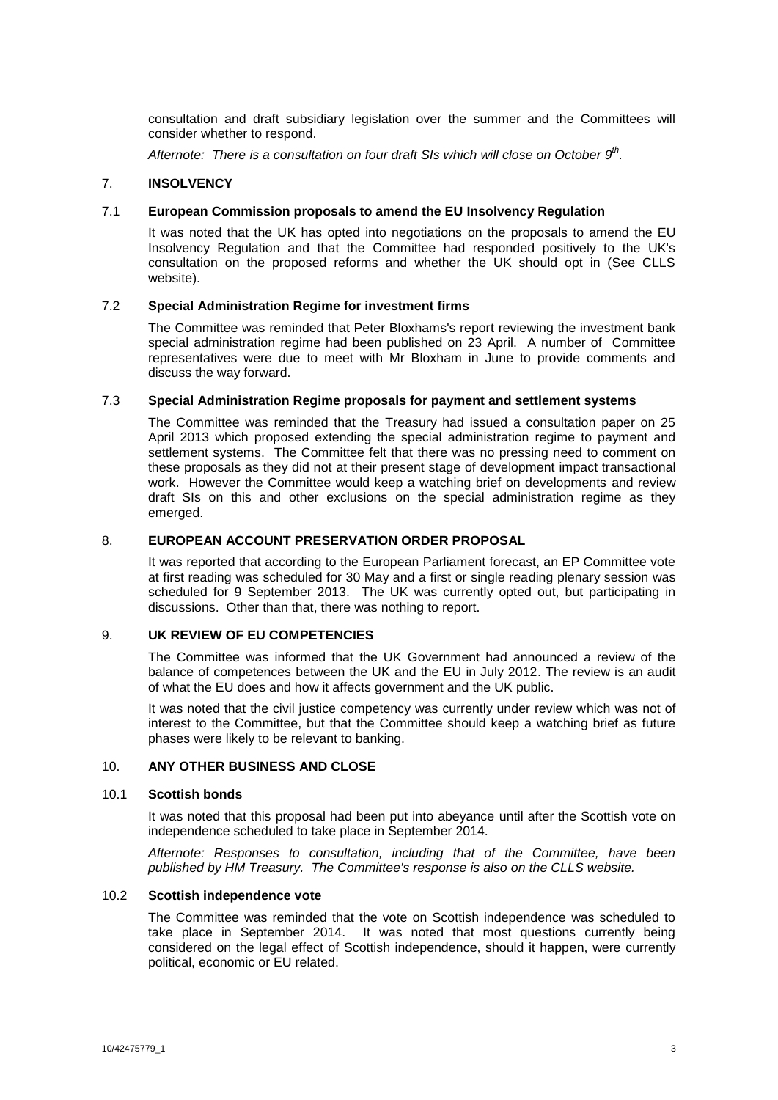consultation and draft subsidiary legislation over the summer and the Committees will consider whether to respond.

*Afternote: There is a consultation on four draft SIs which will close on October 9 th .*

#### 7. **INSOLVENCY**

#### 7.1 **European Commission proposals to amend the EU Insolvency Regulation**

It was noted that the UK has opted into negotiations on the proposals to amend the EU Insolvency Regulation and that the Committee had responded positively to the UK's consultation on the proposed reforms and whether the UK should opt in (See CLLS website).

#### 7.2 **Special Administration Regime for investment firms**

The Committee was reminded that Peter Bloxhams's report reviewing the investment bank special administration regime had been published on 23 April. A number of Committee representatives were due to meet with Mr Bloxham in June to provide comments and discuss the way forward.

#### 7.3 **Special Administration Regime proposals for payment and settlement systems**

The Committee was reminded that the Treasury had issued a consultation paper on 25 April 2013 which proposed extending the special administration regime to payment and settlement systems. The Committee felt that there was no pressing need to comment on these proposals as they did not at their present stage of development impact transactional work. However the Committee would keep a watching brief on developments and review draft SIs on this and other exclusions on the special administration regime as they emerged.

#### 8. **EUROPEAN ACCOUNT PRESERVATION ORDER PROPOSAL**

It was reported that according to the European Parliament forecast, an EP Committee vote at first reading was scheduled for 30 May and a first or single reading plenary session was scheduled for 9 September 2013. The UK was currently opted out, but participating in discussions. Other than that, there was nothing to report.

#### 9. **UK REVIEW OF EU COMPETENCIES**

The Committee was informed that the UK Government had announced a review of the balance of competences between the UK and the EU in July 2012. The review is an audit of what the EU does and how it affects government and the UK public.

It was noted that the civil justice competency was currently under review which was not of interest to the Committee, but that the Committee should keep a watching brief as future phases were likely to be relevant to banking.

#### 10. **ANY OTHER BUSINESS AND CLOSE**

#### 10.1 **Scottish bonds**

It was noted that this proposal had been put into abeyance until after the Scottish vote on independence scheduled to take place in September 2014.

*Afternote: Responses to consultation, including that of the Committee, have been published by HM Treasury. The Committee's response is also on the CLLS website.*

#### 10.2 **Scottish independence vote**

The Committee was reminded that the vote on Scottish independence was scheduled to take place in September 2014. It was noted that most questions currently being considered on the legal effect of Scottish independence, should it happen, were currently political, economic or EU related.